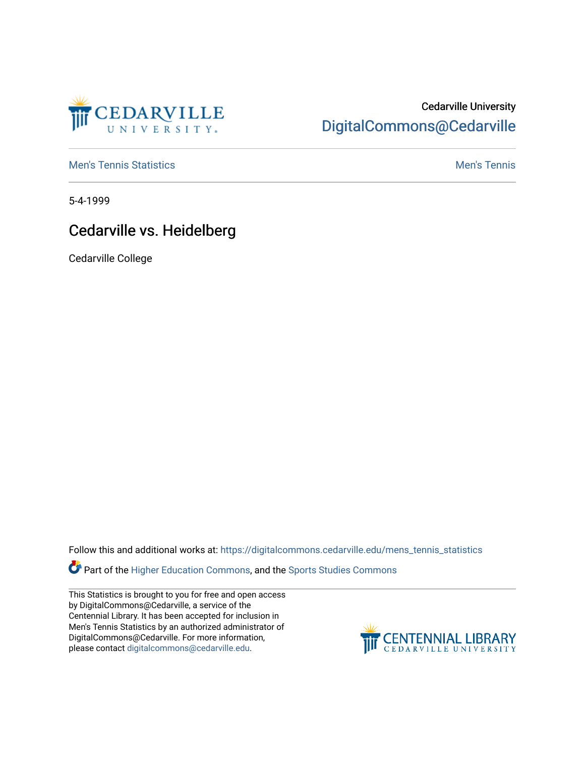

## Cedarville University [DigitalCommons@Cedarville](https://digitalcommons.cedarville.edu/)

**[Men's Tennis Statistics](https://digitalcommons.cedarville.edu/mens_tennis_statistics) Mental According to the Control of Control According Mental Men's Tennis** 

5-4-1999

## Cedarville vs. Heidelberg

Cedarville College

Follow this and additional works at: [https://digitalcommons.cedarville.edu/mens\\_tennis\\_statistics](https://digitalcommons.cedarville.edu/mens_tennis_statistics?utm_source=digitalcommons.cedarville.edu%2Fmens_tennis_statistics%2F424&utm_medium=PDF&utm_campaign=PDFCoverPages)

Part of the [Higher Education Commons,](http://network.bepress.com/hgg/discipline/1245?utm_source=digitalcommons.cedarville.edu%2Fmens_tennis_statistics%2F424&utm_medium=PDF&utm_campaign=PDFCoverPages) and the [Sports Studies Commons](http://network.bepress.com/hgg/discipline/1198?utm_source=digitalcommons.cedarville.edu%2Fmens_tennis_statistics%2F424&utm_medium=PDF&utm_campaign=PDFCoverPages) 

This Statistics is brought to you for free and open access by DigitalCommons@Cedarville, a service of the Centennial Library. It has been accepted for inclusion in Men's Tennis Statistics by an authorized administrator of DigitalCommons@Cedarville. For more information, please contact [digitalcommons@cedarville.edu](mailto:digitalcommons@cedarville.edu).